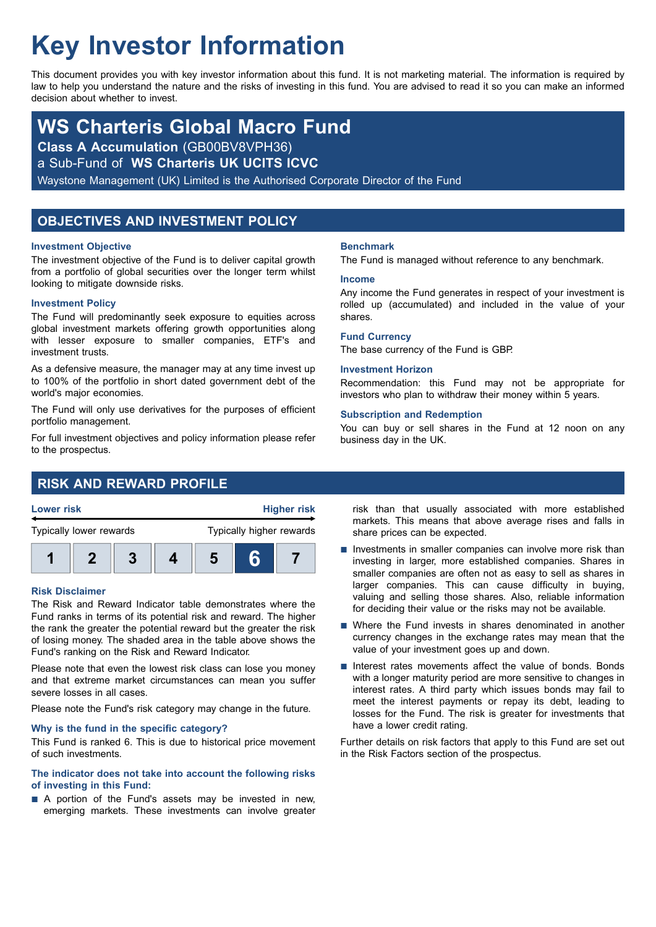# **Key Investor Information**

This document provides you with key investor information about this fund. It is not marketing material. The information is required by law to help you understand the nature and the risks of investing in this fund. You are advised to read it so you can make an informed decision about whether to invest.

## **WS Charteris Global Macro Fund**

**Class A Accumulation** (GB00BV8VPH36)

a Sub-Fund of **WS Charteris UK UCITS ICVC**

Waystone Management (UK) Limited is the Authorised Corporate Director of the Fund

## **OBJECTIVES AND INVESTMENT POLICY**

#### **Investment Objective**

The investment objective of the Fund is to deliver capital growth from a portfolio of global securities over the longer term whilst looking to mitigate downside risks.

#### **Investment Policy**

The Fund will predominantly seek exposure to equities across global investment markets offering growth opportunities along with lesser exposure to smaller companies, ETF's and investment trusts.

As a defensive measure, the manager may at any time invest up to 100% of the portfolio in short dated government debt of the world's major economies.

The Fund will only use derivatives for the purposes of efficient portfolio management.

For full investment objectives and policy information please refer to the prospectus.

## **RISK AND REWARD PROFILE**



#### **Risk Disclaimer**

The Risk and Reward Indicator table demonstrates where the Fund ranks in terms of its potential risk and reward. The higher the rank the greater the potential reward but the greater the risk of losing money. The shaded area in the table above shows the Fund's ranking on the Risk and Reward Indicator.

Please note that even the lowest risk class can lose you money and that extreme market circumstances can mean you suffer severe losses in all cases.

Please note the Fund's risk category may change in the future.

#### **Why is the fund in the specific category?**

This Fund is ranked 6. This is due to historical price movement of such investments.

#### **The indicator does not take into account the following risks of investing in this Fund:**

 $\blacksquare$  A portion of the Fund's assets may be invested in new, emerging markets. These investments can involve greater risk than that usually associated with more established markets. This means that above average rises and falls in share prices can be expected.

- $\blacksquare$  Investments in smaller companies can involve more risk than investing in larger, more established companies. Shares in smaller companies are often not as easy to sell as shares in larger companies. This can cause difficulty in buying, valuing and selling those shares. Also, reliable information for deciding their value or the risks may not be available.
- Where the Fund invests in shares denominated in another currency changes in the exchange rates may mean that the value of your investment goes up and down.
- Interest rates movements affect the value of bonds. Bonds with a longer maturity period are more sensitive to changes in interest rates. A third party which issues bonds may fail to meet the interest payments or repay its debt, leading to losses for the Fund. The risk is greater for investments that have a lower credit rating.

Further details on risk factors that apply to this Fund are set out in the Risk Factors section of the prospectus.

### **Benchmark**

The Fund is managed without reference to any benchmark.

#### **Income**

Any income the Fund generates in respect of your investment is rolled up (accumulated) and included in the value of your shares.

#### **Fund Currency**

The base currency of the Fund is GBP.

#### **Investment Horizon**

Recommendation: this Fund may not be appropriate for investors who plan to withdraw their money within 5 years.

#### **Subscription and Redemption**

You can buy or sell shares in the Fund at 12 noon on any business day in the UK.